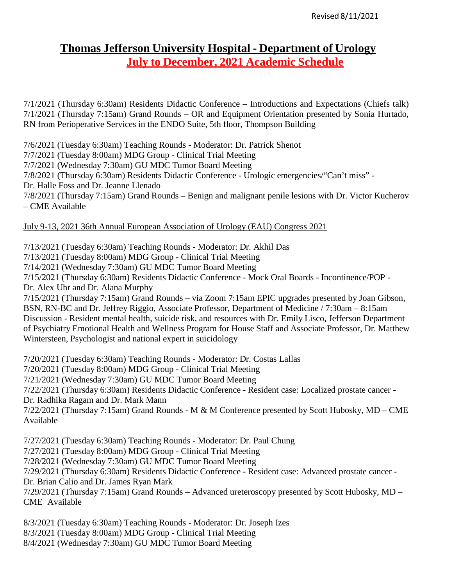# **Thomas Jefferson University Hospital - Department of Urology July to December, 2021 Academic Schedule**

7/1/2021 (Thursday 6:30am) Residents Didactic Conference – Introductions and Expectations (Chiefs talk) 7/1/2021 (Thursday 7:15am) Grand Rounds – OR and Equipment Orientation presented by Sonia Hurtado, RN from Perioperative Services in the ENDO Suite, 5th floor, Thompson Building

7/6/2021 (Tuesday 6:30am) Teaching Rounds - Moderator: Dr. Patrick Shenot

7/7/2021 (Tuesday 8:00am) MDG Group - Clinical Trial Meeting

7/7/2021 (Wednesday 7:30am) GU MDC Tumor Board Meeting

7/8/2021 (Thursday 6:30am) Residents Didactic Conference - Urologic emergencies/"Can't miss" -

Dr. Halle Foss and Dr. Jeanne Llenado

7/8/2021 (Thursday 7:15am) Grand Rounds – Benign and malignant penile lesions with Dr. Victor Kucherov – CME Available

## July 9-13, 2021 36th Annual European Association of Urology (EAU) Congress 2021

7/13/2021 (Tuesday 6:30am) Teaching Rounds - Moderator: Dr. Akhil Das

7/13/2021 (Tuesday 8:00am) MDG Group - Clinical Trial Meeting

7/14/2021 (Wednesday 7:30am) GU MDC Tumor Board Meeting

7/15/2021 (Thursday 6:30am) Residents Didactic Conference - Mock Oral Boards - Incontinence/POP -

Dr. Alex Uhr and Dr. Alana Murphy

7/15/2021 (Thursday 7:15am) Grand Rounds – via Zoom 7:15am EPIC upgrades presented by Joan Gibson, BSN, RN-BC and Dr. Jeffrey Riggio, Associate Professor, Department of Medicine / 7:30am – 8:15am Discussion - Resident mental health, suicide risk, and resources with Dr. Emily Lisco, Jefferson Department of Psychiatry Emotional Health and Wellness Program for House Staff and Associate Professor, Dr. Matthew Wintersteen, Psychologist and national expert in suicidology

7/20/2021 (Tuesday 6:30am) Teaching Rounds - Moderator: Dr. Costas Lallas

7/20/2021 (Tuesday 8:00am) MDG Group - Clinical Trial Meeting

7/21/2021 (Wednesday 7:30am) GU MDC Tumor Board Meeting

7/22/2021 (Thursday 6:30am) Residents Didactic Conference - Resident case: Localized prostate cancer - Dr. Radhika Ragam and Dr. Mark Mann

7/22/2021 (Thursday 7:15am) Grand Rounds - M & M Conference presented by Scott Hubosky, MD – CME Available

7/27/2021 (Tuesday 6:30am) Teaching Rounds - Moderator: Dr. Paul Chung

7/27/2021 (Tuesday 8:00am) MDG Group - Clinical Trial Meeting

7/28/2021 (Wednesday 7:30am) GU MDC Tumor Board Meeting

7/29/2021 (Thursday 6:30am) Residents Didactic Conference - Resident case: Advanced prostate cancer -

Dr. Brian Calio and Dr. James Ryan Mark

7/29/2021 (Thursday 7:15am) Grand Rounds – Advanced ureteroscopy presented by Scott Hubosky, MD – CME Available

8/3/2021 (Tuesday 6:30am) Teaching Rounds - Moderator: Dr. Joseph Izes

8/3/2021 (Tuesday 8:00am) MDG Group - Clinical Trial Meeting

8/4/2021 (Wednesday 7:30am) GU MDC Tumor Board Meeting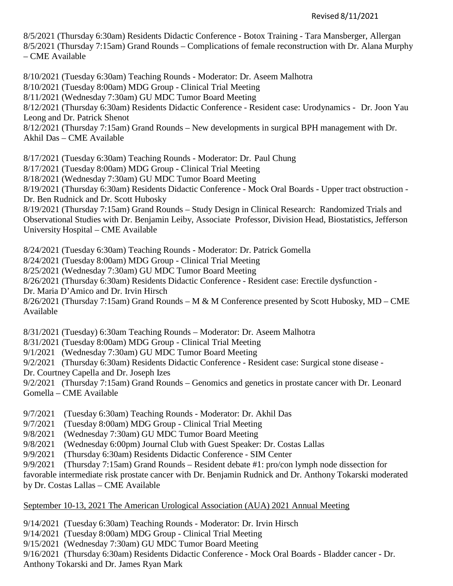#### Revised 8/11/2021

8/5/2021 (Thursday 6:30am) Residents Didactic Conference - Botox Training - Tara Mansberger, Allergan 8/5/2021 (Thursday 7:15am) Grand Rounds – Complications of female reconstruction with Dr. Alana Murphy – CME Available

8/10/2021 (Tuesday 6:30am) Teaching Rounds - Moderator: Dr. Aseem Malhotra

8/10/2021 (Tuesday 8:00am) MDG Group - Clinical Trial Meeting

8/11/2021 (Wednesday 7:30am) GU MDC Tumor Board Meeting

8/12/2021 (Thursday 6:30am) Residents Didactic Conference - Resident case: Urodynamics - Dr. Joon Yau Leong and Dr. Patrick Shenot

8/12/2021 (Thursday 7:15am) Grand Rounds – New developments in surgical BPH management with Dr. Akhil Das – CME Available

8/17/2021 (Tuesday 6:30am) Teaching Rounds - Moderator: Dr. Paul Chung

8/17/2021 (Tuesday 8:00am) MDG Group - Clinical Trial Meeting

8/18/2021 (Wednesday 7:30am) GU MDC Tumor Board Meeting

8/19/2021 (Thursday 6:30am) Residents Didactic Conference - Mock Oral Boards - Upper tract obstruction - Dr. Ben Rudnick and Dr. Scott Hubosky

8/19/2021 (Thursday 7:15am) Grand Rounds – Study Design in Clinical Research: Randomized Trials and Observational Studies with Dr. Benjamin Leiby, Associate Professor, Division Head, Biostatistics, Jefferson University Hospital – CME Available

8/24/2021 (Tuesday 6:30am) Teaching Rounds - Moderator: Dr. Patrick Gomella

8/24/2021 (Tuesday 8:00am) MDG Group - Clinical Trial Meeting

8/25/2021 (Wednesday 7:30am) GU MDC Tumor Board Meeting

8/26/2021 (Thursday 6:30am) Residents Didactic Conference - Resident case: Erectile dysfunction -

Dr. Maria D'Amico and Dr. Irvin Hirsch

8/26/2021 (Thursday 7:15am) Grand Rounds – M & M Conference presented by Scott Hubosky, MD – CME Available

8/31/2021 (Tuesday) 6:30am Teaching Rounds – Moderator: Dr. Aseem Malhotra

8/31/2021 (Tuesday 8:00am) MDG Group - Clinical Trial Meeting

9/1/2021 (Wednesday 7:30am) GU MDC Tumor Board Meeting

9/2/2021 (Thursday 6:30am) Residents Didactic Conference - Resident case: Surgical stone disease -

Dr. Courtney Capella and Dr. Joseph Izes

9/2/2021 (Thursday 7:15am) Grand Rounds – Genomics and genetics in prostate cancer with Dr. Leonard Gomella – CME Available

9/7/2021 (Tuesday 6:30am) Teaching Rounds - Moderator: Dr. Akhil Das

9/7/2021 (Tuesday 8:00am) MDG Group - Clinical Trial Meeting

9/8/2021 (Wednesday 7:30am) GU MDC Tumor Board Meeting

9/8/2021 (Wednesday 6:00pm) Journal Club with Guest Speaker: Dr. Costas Lallas

9/9/2021 (Thursday 6:30am) Residents Didactic Conference - SIM Center

9/9/2021 (Thursday 7:15am) Grand Rounds – Resident debate #1: pro/con lymph node dissection for

favorable intermediate risk prostate cancer with Dr. Benjamin Rudnick and Dr. Anthony Tokarski moderated by Dr. Costas Lallas – CME Available

#### September 10-13, 2021 The American Urological Association (AUA) 2021 Annual Meeting

9/14/2021 (Tuesday 6:30am) Teaching Rounds - Moderator: Dr. Irvin Hirsch

9/14/2021 (Tuesday 8:00am) MDG Group - Clinical Trial Meeting

9/15/2021 (Wednesday 7:30am) GU MDC Tumor Board Meeting

9/16/2021 (Thursday 6:30am) Residents Didactic Conference - Mock Oral Boards - Bladder cancer - Dr.

Anthony Tokarski and Dr. James Ryan Mark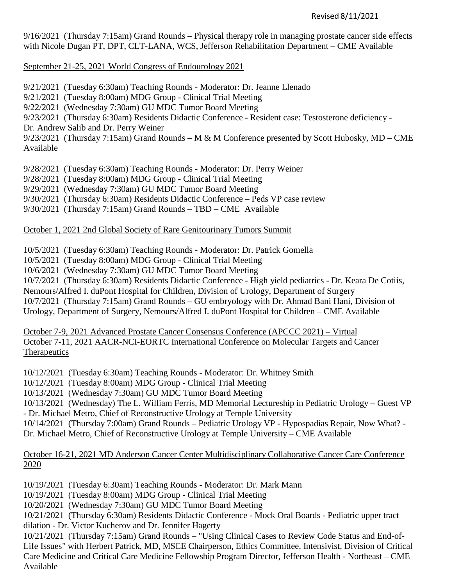9/16/2021 (Thursday 7:15am) Grand Rounds – Physical therapy role in managing prostate cancer side effects with Nicole Dugan PT, DPT, CLT-LANA, WCS, Jefferson Rehabilitation Department – CME Available

September 21-25, 2021 World Congress of Endourology 2021

- 9/21/2021 (Tuesday 6:30am) Teaching Rounds Moderator: Dr. Jeanne Llenado
- 9/21/2021 (Tuesday 8:00am) MDG Group Clinical Trial Meeting
- 9/22/2021 (Wednesday 7:30am) GU MDC Tumor Board Meeting

9/23/2021 (Thursday 6:30am) Residents Didactic Conference - Resident case: Testosterone deficiency -

Dr. Andrew Salib and Dr. Perry Weiner

9/23/2021 (Thursday 7:15am) Grand Rounds – M & M Conference presented by Scott Hubosky, MD – CME Available

9/28/2021 (Tuesday 6:30am) Teaching Rounds - Moderator: Dr. Perry Weiner

9/28/2021 (Tuesday 8:00am) MDG Group - Clinical Trial Meeting

- 9/29/2021 (Wednesday 7:30am) GU MDC Tumor Board Meeting
- 9/30/2021 (Thursday 6:30am) Residents Didactic Conference Peds VP case review

9/30/2021 (Thursday 7:15am) Grand Rounds – TBD – CME Available

October 1, 2021 2nd Global Society of Rare Genitourinary Tumors Summit

10/5/2021 (Tuesday 6:30am) Teaching Rounds - Moderator: Dr. Patrick Gomella

10/5/2021 (Tuesday 8:00am) MDG Group - Clinical Trial Meeting

10/6/2021 (Wednesday 7:30am) GU MDC Tumor Board Meeting

10/7/2021 (Thursday 6:30am) Residents Didactic Conference - High yield pediatrics - Dr. Keara De Cotiis,

Nemours/Alfred I. duPont Hospital for Children, Division of Urology, Department of Surgery

10/7/2021 (Thursday 7:15am) Grand Rounds – GU embryology with Dr. Ahmad Bani Hani, Division of

Urology, Department of Surgery, Nemours/Alfred I. duPont Hospital for Children – CME Available

October 7-9, 2021 Advanced Prostate Cancer Consensus Conference (APCCC 2021) – Virtual October 7-11, 2021 AACR-NCI-EORTC International Conference on Molecular Targets and Cancer **Therapeutics** 

10/12/2021 (Tuesday 6:30am) Teaching Rounds - Moderator: Dr. Whitney Smith

10/12/2021 (Tuesday 8:00am) MDG Group - Clinical Trial Meeting

10/13/2021 (Wednesday 7:30am) GU MDC Tumor Board Meeting

10/13/2021 (Wednesday) The L. William Ferris, MD Memorial Lectureship in Pediatric Urology – Guest VP - Dr. Michael Metro, Chief of Reconstructive Urology at Temple University

10/14/2021 (Thursday 7:00am) Grand Rounds – Pediatric Urology VP - Hypospadias Repair, Now What? - Dr. Michael Metro, Chief of Reconstructive Urology at Temple University – CME Available

## October 16-21, 2021 MD Anderson Cancer Center Multidisciplinary Collaborative Cancer Care Conference 2020

10/19/2021 (Tuesday 6:30am) Teaching Rounds - Moderator: Dr. Mark Mann

10/19/2021 (Tuesday 8:00am) MDG Group - Clinical Trial Meeting

10/20/2021 (Wednesday 7:30am) GU MDC Tumor Board Meeting

10/21/2021 (Thursday 6:30am) Residents Didactic Conference - Mock Oral Boards - Pediatric upper tract dilation - Dr. Victor Kucherov and Dr. Jennifer Hagerty

10/21/2021 (Thursday 7:15am) Grand Rounds – "Using Clinical Cases to Review Code Status and End-of-Life Issues" with Herbert Patrick, MD, MSEE Chairperson, Ethics Committee, Intensivist, Division of Critical Care Medicine and Critical Care Medicine Fellowship Program Director, Jefferson Health - Northeast – CME Available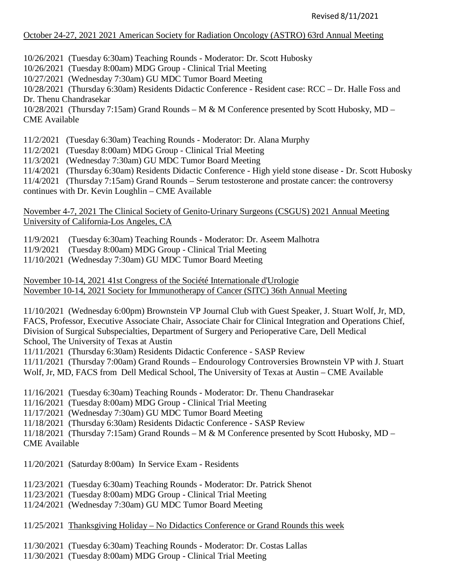### October 24-27, 2021 2021 American Society for Radiation Oncology (ASTRO) 63rd Annual Meeting

10/26/2021 (Tuesday 6:30am) Teaching Rounds - Moderator: Dr. Scott Hubosky

10/26/2021 (Tuesday 8:00am) MDG Group - Clinical Trial Meeting

10/27/2021 (Wednesday 7:30am) GU MDC Tumor Board Meeting

10/28/2021 (Thursday 6:30am) Residents Didactic Conference - Resident case: RCC – Dr. Halle Foss and Dr. Thenu Chandrasekar

10/28/2021 (Thursday 7:15am) Grand Rounds – M & M Conference presented by Scott Hubosky, MD – CME Available

11/2/2021 (Tuesday 6:30am) Teaching Rounds - Moderator: Dr. Alana Murphy

11/2/2021 (Tuesday 8:00am) MDG Group - Clinical Trial Meeting

11/3/2021 (Wednesday 7:30am) GU MDC Tumor Board Meeting

11/4/2021 (Thursday 6:30am) Residents Didactic Conference - High yield stone disease - Dr. Scott Hubosky

11/4/2021 (Thursday 7:15am) Grand Rounds – Serum testosterone and prostate cancer: the controversy

continues with Dr. Kevin Loughlin – CME Available

November 4-7, 2021 The Clinical Society of Genito-Urinary Surgeons (CSGUS) 2021 Annual Meeting University of California-Los Angeles, CA

11/9/2021 (Tuesday 6:30am) Teaching Rounds - Moderator: Dr. Aseem Malhotra

11/9/2021 (Tuesday 8:00am) MDG Group - Clinical Trial Meeting

11/10/2021 (Wednesday 7:30am) GU MDC Tumor Board Meeting

November 10-14, 2021 41st Congress of the Société Internationale d'Urologie November 10-14, 2021 Society for Immunotherapy of Cancer (SITC) 36th Annual Meeting

11/10/2021 (Wednesday 6:00pm) Brownstein VP Journal Club with Guest Speaker, J. Stuart Wolf, Jr, MD, FACS, Professor, Executive Associate Chair, Associate Chair for Clinical Integration and Operations Chief, Division of Surgical Subspecialties, Department of Surgery and Perioperative Care, Dell Medical School, The University of Texas at Austin

11/11/2021 (Thursday 6:30am) Residents Didactic Conference - SASP Review

11/11/2021 (Thursday 7:00am) Grand Rounds – Endourology Controversies Brownstein VP with J. Stuart Wolf, Jr, MD, FACS from Dell Medical School, The University of Texas at Austin – CME Available

11/16/2021 (Tuesday 6:30am) Teaching Rounds - Moderator: Dr. Thenu Chandrasekar

11/16/2021 (Tuesday 8:00am) MDG Group - Clinical Trial Meeting

11/17/2021 (Wednesday 7:30am) GU MDC Tumor Board Meeting

11/18/2021 (Thursday 6:30am) Residents Didactic Conference - SASP Review

11/18/2021 (Thursday 7:15am) Grand Rounds – M & M Conference presented by Scott Hubosky, MD – CME Available

11/20/2021 (Saturday 8:00am) In Service Exam - Residents

11/23/2021 (Tuesday 6:30am) Teaching Rounds - Moderator: Dr. Patrick Shenot

11/23/2021 (Tuesday 8:00am) MDG Group - Clinical Trial Meeting

11/24/2021 (Wednesday 7:30am) GU MDC Tumor Board Meeting

11/25/2021 Thanksgiving Holiday – No Didactics Conference or Grand Rounds this week

11/30/2021 (Tuesday 6:30am) Teaching Rounds - Moderator: Dr. Costas Lallas

11/30/2021 (Tuesday 8:00am) MDG Group - Clinical Trial Meeting